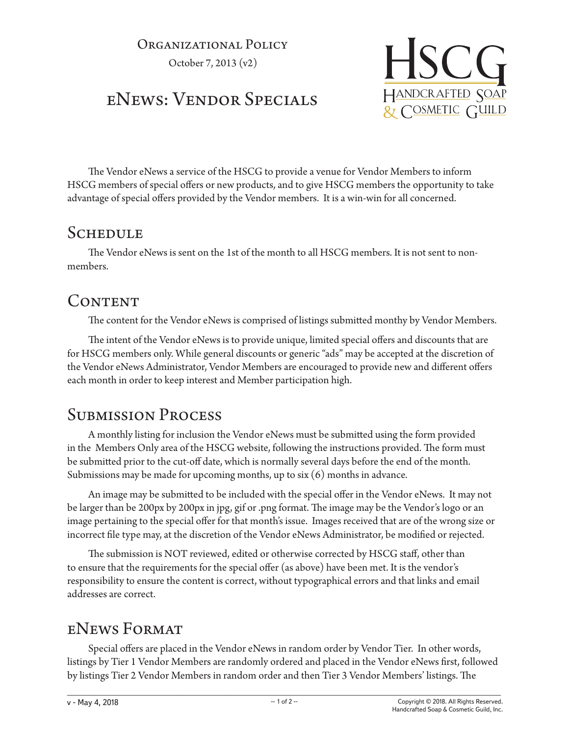#### Organizational Policy

October 7, 2013 (v2)

# eNews: Vendor Specials



The Vendor eNews a service of the HSCG to provide a venue for Vendor Members to inform HSCG members of special offers or new products, and to give HSCG members the opportunity to take advantage of special offers provided by the Vendor members. It is a win-win for all concerned.

## **SCHEDULE**

The Vendor eNews is sent on the 1st of the month to all HSCG members. It is not sent to nonmembers.

## CONTENT

The content for the Vendor eNews is comprised of listings submitted monthy by Vendor Members.

The intent of the Vendor eNews is to provide unique, limited special offers and discounts that are for HSCG members only. While general discounts or generic "ads" may be accepted at the discretion of the Vendor eNews Administrator, Vendor Members are encouraged to provide new and different offers each month in order to keep interest and Member participation high.

## Submission Process

A monthly listing for inclusion the Vendor eNews must be submitted using the form provided in the Members Only area of the HSCG website, following the instructions provided. The form must be submitted prior to the cut-off date, which is normally several days before the end of the month. Submissions may be made for upcoming months, up to six (6) months in advance.

An image may be submitted to be included with the special offer in the Vendor eNews. It may not be larger than be 200px by 200px in jpg, gif or .png format. The image may be the Vendor's logo or an image pertaining to the special offer for that month's issue. Images received that are of the wrong size or incorrect file type may, at the discretion of the Vendor eNews Administrator, be modified or rejected.

The submission is NOT reviewed, edited or otherwise corrected by HSCG staff, other than to ensure that the requirements for the special offer (as above) have been met. It is the vendor's responsibility to ensure the content is correct, without typographical errors and that links and email addresses are correct.

## eNews Format

Special offers are placed in the Vendor eNews in random order by Vendor Tier. In other words, listings by Tier 1 Vendor Members are randomly ordered and placed in the Vendor eNews first, followed by listings Tier 2 Vendor Members in random order and then Tier 3 Vendor Members' listings. The